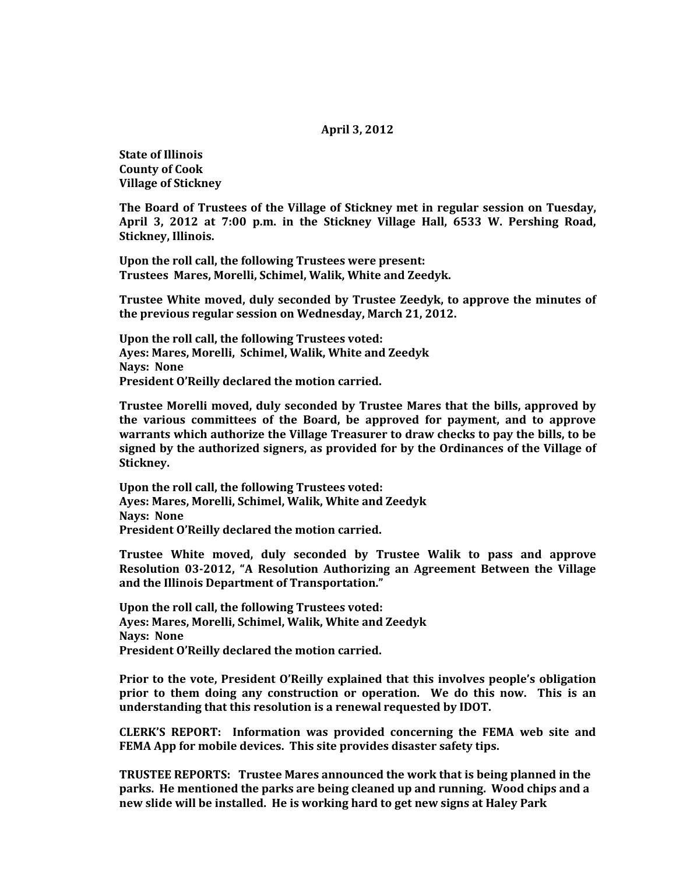## **April 3, 2012**

**State of Illinois County of Cook Village of Stickney**

**The Board of Trustees of the Village of Stickney met in regular session on Tuesday, April 3, 2012 at 7:00 p.m. in the Stickney Village Hall, 6533 W. Pershing Road, Stickney, Illinois.**

**Upon the roll call, the following Trustees were present: Trustees Mares, Morelli, Schimel, Walik, White and Zeedyk.** 

**Trustee White moved, duly seconded by Trustee Zeedyk, to approve the minutes of the previous regular session on Wednesday, March 21, 2012.**

**Upon the roll call, the following Trustees voted: Ayes: Mares, Morelli, Schimel, Walik, White and Zeedyk Nays: None President O'Reilly declared the motion carried.**

**Trustee Morelli moved, duly seconded by Trustee Mares that the bills, approved by the various committees of the Board, be approved for payment, and to approve warrants which authorize the Village Treasurer to draw checks to pay the bills, to be signed by the authorized signers, as provided for by the Ordinances of the Village of Stickney.**

**Upon the roll call, the following Trustees voted: Ayes: Mares, Morelli, Schimel, Walik, White and Zeedyk Nays: None President O'Reilly declared the motion carried.**

**Trustee White moved, duly seconded by Trustee Walik to pass and approve Resolution 03-2012, "A Resolution Authorizing an Agreement Between the Village and the Illinois Department of Transportation."** 

**Upon the roll call, the following Trustees voted: Ayes: Mares, Morelli, Schimel, Walik, White and Zeedyk Nays: None President O'Reilly declared the motion carried.**

**Prior to the vote, President O'Reilly explained that this involves people's obligation prior to them doing any construction or operation. We do this now. This is an understanding that this resolution is a renewal requested by IDOT.** 

**CLERK'S REPORT: Information was provided concerning the FEMA web site and FEMA App for mobile devices. This site provides disaster safety tips.**

**TRUSTEE REPORTS: Trustee Mares announced the work that is being planned in the parks. He mentioned the parks are being cleaned up and running. Wood chips and a new slide will be installed. He is working hard to get new signs at Haley Park**